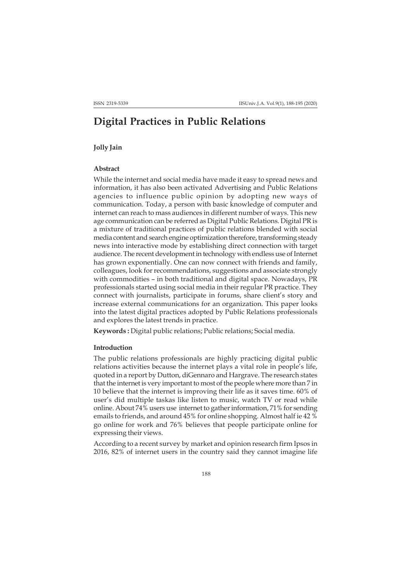# **Digital Practices in Public Relations**

### **Jolly Jain**

# **Abstract**

While the internet and social media have made it easy to spread news and information, it has also been activated Advertising and Public Relations agencies to influence public opinion by adopting new ways of communication. Today, a person with basic knowledge of computer and internet can reach to mass audiences in different number of ways. This new age communication can be referred as Digital Public Relations. Digital PR is a mixture of traditional practices of public relations blended with social media content and search engine optimization therefore, transforming steady news into interactive mode by establishing direct connection with target audience. The recent development in technology with endless use of Internet has grown exponentially. One can now connect with friends and family, colleagues, look for recommendations, suggestions and associate strongly with commodities – in both traditional and digital space. Nowadays, PR professionals started using social media in their regular PR practice. They connect with journalists, participate in forums, share client's story and increase external communications for an organization. This paper looks into the latest digital practices adopted by Public Relations professionals and explores the latest trends in practice.

**Keywords :** Digital public relations; Public relations; Social media.

#### **Introduction**

The public relations professionals are highly practicing digital public relations activities because the internet plays a vital role in people's life, quoted in a report by Dutton, diGennaro and Hargrave. The research states that the internet is very important to most of the people where more than 7 in 10 believe that the internet is improving their life as it saves time. 60% of user's did multiple taskas like listen to music, watch TV or read while online. About 74% users use internet to gather information, 71% for sending emails to friends, and around 45% for online shopping. Almost half ie 42 % go online for work and 76% believes that people participate online for expressing their views.

According to a recent survey by market and opinion research firm Ipsos in 2016, 82% of internet users in the country said they cannot imagine life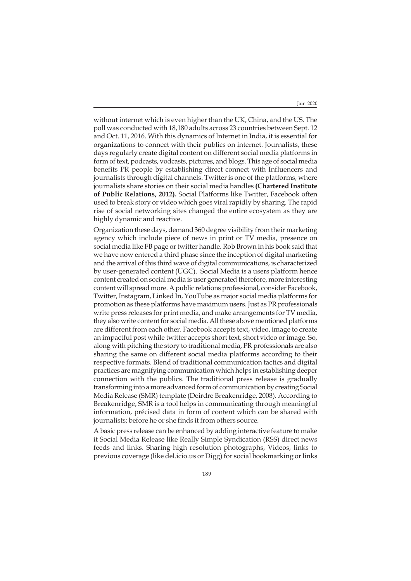without internet which is even higher than the UK, China, and the US. The poll was conducted with 18,180 adults across 23 countries between Sept. 12 and Oct. 11, 2016. With this dynamics of Internet in India, it is essential for organizations to connect with their publics on internet. Journalists, these days regularly create digital content on different social media platforms in form of text, podcasts, vodcasts, pictures, and blogs. This age of social media benefits PR people by establishing direct connect with Influencers and journalists through digital channels. Twitter is one of the platforms, where journalists share stories on their social media handles **(Chartered Institute of Public Relations, 2012).** Social Platforms like Twitter, Facebook often used to break story or video which goes viral rapidly by sharing. The rapid rise of social networking sites changed the entire ecosystem as they are highly dynamic and reactive.

Organization these days, demand 360 degree visibility from their marketing agency which include piece of news in print or TV media, presence on social media like FB page or twitter handle. Rob Brown in his book said that we have now entered a third phase since the inception of digital marketing and the arrival of this third wave of digital communications, is characterized by user-generated content (UGC). Social Media is a users platform hence content created on social media is user generated therefore, more interesting content will spread more. A public relations professional, consider Facebook, Twitter, Instagram, Linked In, YouTube as major social media platforms for promotion as these platforms have maximum users. Just as PR professionals write press releases for print media, and make arrangements for TV media, they also write content for social media. All these above mentioned platforms are different from each other. Facebook accepts text, video, image to create an impactful post while twitter accepts short text, short video or image. So, along with pitching the story to traditional media, PR professionals are also sharing the same on different social media platforms according to their respective formats. Blend of traditional communication tactics and digital practices are magnifying communication which helps in establishing deeper connection with the publics. The traditional press release is gradually transforming into a more advanced form of communication by creating Social Media Release (SMR) template (Deirdre Breakenridge, 2008). According to Breakenridge, SMR is a tool helps in communicating through meaningful information, précised data in form of content which can be shared with journalists; before he or she finds it from others source.

A basic press release can be enhanced by adding interactive feature to make it Social Media Release like Really Simple Syndication (RSS) direct news feeds and links. Sharing high resolution photographs, Videos, links to previous coverage (like del.icio.us or Digg) for social bookmarking or links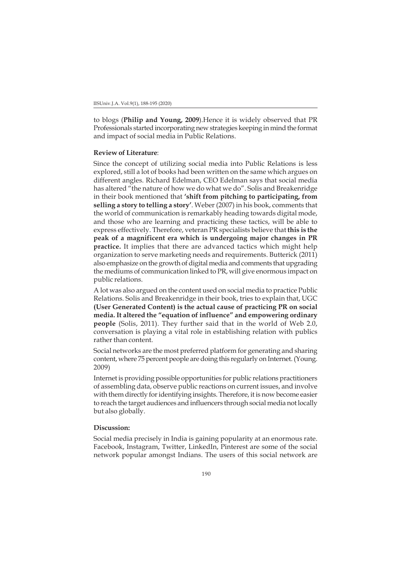to blogs (**Philip and Young, 2009**).Hence it is widely observed that PR Professionals started incorporating new strategies keeping in mind the format and impact of social media in Public Relations.

#### **Review of Literature**:

Since the concept of utilizing social media into Public Relations is less explored, still a lot of books had been written on the same which argues on different angles. Richard Edelman, CEO Edelman says that social media has altered "the nature of how we do what we do". Solis and Breakenridge in their book mentioned that **'shift from pitching to participating, from selling a story to telling a story'**. Weber (2007) in his book, comments that the world of communication is remarkably heading towards digital mode, and those who are learning and practicing these tactics, will be able to express effectively. Therefore, veteran PR specialists believe that **this is the peak of a magnificent era which is undergoing major changes in PR practice.** It implies that there are advanced tactics which might help organization to serve marketing needs and requirements. Butterick (2011) also emphasize on the growth of digital media and comments that upgrading the mediums of communication linked to PR, will give enormous impact on public relations.

A lot was also argued on the content used on social media to practice Public Relations. Solis and Breakenridge in their book, tries to explain that, UGC **(User Generated Content) is the actual cause of practicing PR on social media. It altered the "equation of influence" and empowering ordinary people** (Solis, 2011). They further said that in the world of Web 2.0, conversation is playing a vital role in establishing relation with publics rather than content.

Social networks are the most preferred platform for generating and sharing content, where 75 percent people are doing this regularly on Internet. (Young. 2009)

Internet is providing possible opportunities for public relations practitioners of assembling data, observe public reactions on current issues, and involve with them directly for identifying insights. Therefore, it is now become easier to reach the target audiences and influencers through social media not locally but also globally.

## **Discussion:**

Social media precisely in India is gaining popularity at an enormous rate. Facebook, Instagram, Twitter, LinkedIn, Pinterest are some of the social network popular amongst Indians. The users of this social network are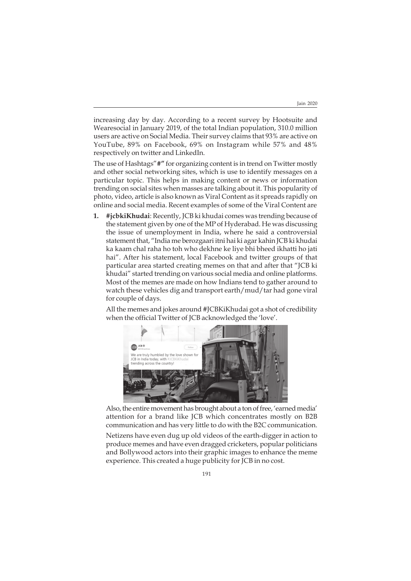increasing day by day. According to a recent survey by Hootsuite and Wearesocial in January 2019, of the total Indian population, 310.0 million users are active on Social Media. Their survey claims that 93% are active on YouTube, 89% on Facebook, 69% on Instagram while 57% and 48% respectively on twitter and LinkedIn.

The use of Hashtags"**#"** for organizing content is in trend on Twitter mostly and other social networking sites, which is use to identify messages on a particular topic. This helps in making content or news or information trending on social sites when masses are talking about it. This popularity of photo, video, article is also known as Viral Content as it spreads rapidly on online and social media. Recent examples of some of the Viral Content are

**1. #jcbkiKhudai**: Recently, JCB ki khudai comes was trending because of the statement given by one of the MP of Hyderabad. He was discussing the issue of unemployment in India, where he said a controversial statement that, "India me berozgaari itni hai ki agar kahin JCB ki khudai ka kaam chal raha ho toh who dekhne ke liye bhi bheed ikhatti ho jati hai". After his statement, local Facebook and twitter groups of that particular area started creating memes on that and after that "JCB ki khudai" started trending on various social media and online platforms. Most of the memes are made on how Indians tend to gather around to watch these vehicles dig and transport earth/mud/tar had gone viral for couple of days.

All the memes and jokes around #JCBKiKhudai got a shot of credibility when the official Twitter of JCB acknowledged the 'love'.



Also, the entire movement has brought about a ton of free, 'earned media' attention for a brand like JCB which concentrates mostly on B2B communication and has very little to do with the B2C communication.

Netizens have even dug up old videos of the earth-digger in action to produce memes and have even dragged cricketers, popular politicians and Bollywood actors into their graphic images to enhance the meme experience. This created a huge publicity for JCB in no cost.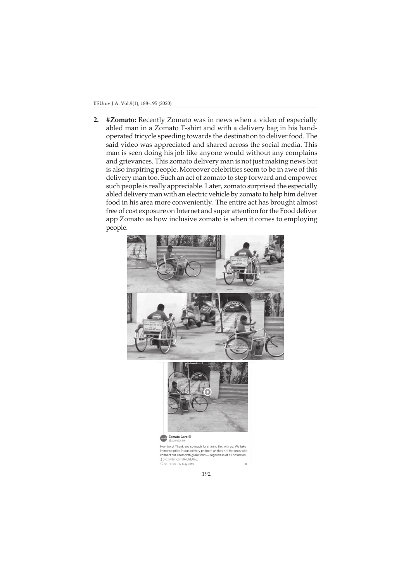**2. #Zomato:** Recently Zomato was in news when a video of especially abled man in a Zomato T-shirt and with a delivery bag in his handoperated tricycle speeding towards the destination to deliver food. The said video was appreciated and shared across the social media. This man is seen doing his job like anyone would without any complains and grievances. This zomato delivery man is not just making news but is also inspiring people. Moreover celebrities seem to be in awe of this delivery man too. Such an act of zomato to step forward and empower such people is really appreciable. Later, zomato surprised the especially abled delivery man with an electric vehicle by zomato to help him deliver food in his area more conveniently. The entire act has brought almost free of cost exposure on Internet and super attention for the Food deliver app Zomato as how inclusive zomato is when it comes to employing people.





members and in our delivery partners as they are the ones who immense pride in our delivery partners as they are the ones who connect our users with great food — regardless of all obstacles :) pic. twitter com/ $A \cup B \cup C$ .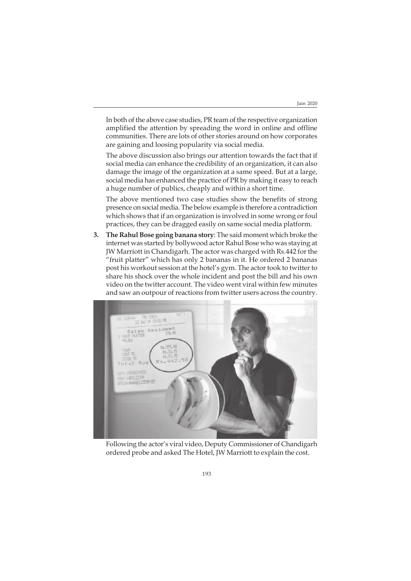In both of the above case studies, PR team of the respective organization amplified the attention by spreading the word in online and offline communities. There are lots of other stories around on how corporates are gaining and loosing popularity via social media.

The above discussion also brings our attention towards the fact that if social media can enhance the credibility of an organization, it can also damage the image of the organization at a same speed. But at a large, social media has enhanced the practice of PR by making it easy to reach a huge number of publics, cheaply and within a short time.

The above mentioned two case studies show the benefits of strong presence on social media. The below example is therefore a contradiction which shows that if an organization is involved in some wrong or foul practices, they can be dragged easily on same social media platform.

**3. The Rahul Bose going banana story**: The said moment which broke the internet was started by bollywood actor Rahul Bose who was staying at JW Marriott in Chandigarh. The actor was charged with Rs.442 for the "fruit platter" which has only 2 bananas in it. He ordered 2 bananas post his workout session at the hotel's gym. The actor took to twitter to share his shock over the whole incident and post the bill and his own video on the twitter account. The video went viral within few minutes and saw an outpour of reactions from twitter users across the country.



Following the actor's viral video, Deputy Commissioner of Chandigarh ordered probe and asked The Hotel, JW Marriott to explain the cost.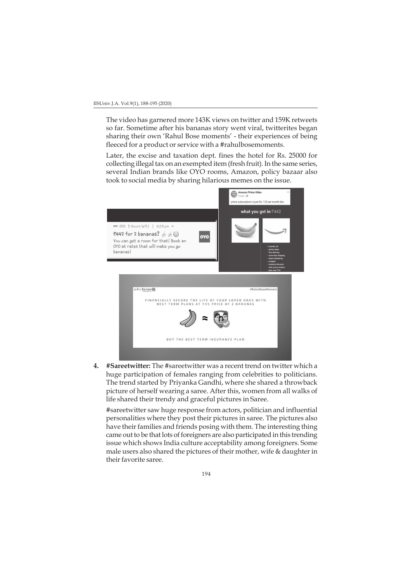The video has garnered more 143K views on twitter and 159K retweets so far. Sometime after his bananas story went viral, twitterites began sharing their own 'Rahul Bose moments' - their experiences of being fleeced for a product or service with a #rahulbosemoments.

Later, the excise and taxation dept. fines the hotel for Rs. 25000 for collecting illegal tax on an exempted item (fresh fruit). In the same series, several Indian brands like OYO rooms, Amazon, policy bazaar also took to social media by sharing hilarious memes on the issue.



**4. #Sareetwitter:** The #sareetwitter was a recent trend on twitter which a huge participation of females ranging from celebrities to politicians. The trend started by Priyanka Gandhi, where she shared a throwback picture of herself wearing a saree. After this, women from all walks of life shared their trendy and graceful pictures in Saree.

#sareetwitter saw huge response from actors, politician and influential personalities where they post their pictures in saree. The pictures also have their families and friends posing with them. The interesting thing came out to be that lots of foreigners are also participated in this trending issue which shows India culture acceptability among foreigners. Some male users also shared the pictures of their mother, wife & daughter in their favorite saree.